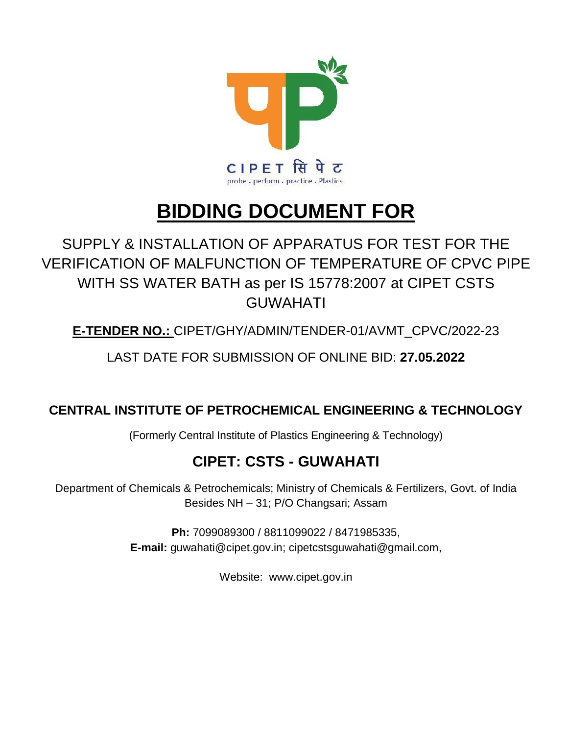

# **BIDDING DOCUMENT FOR**

## SUPPLY & INSTALLATION OF APPARATUS FOR TEST FOR THE VERIFICATION OF MALFUNCTION OF TEMPERATURE OF CPVC PIPE WITH SS WATER BATH as per IS 15778:2007 at CIPET CSTS GUWAHATI

**E-TENDER NO.:** CIPET/GHY/ADMIN/TENDER-01/AVMT\_CPVC/2022-23

LAST DATE FOR SUBMISSION OF ONLINE BID: **27.05.2022**

### **CENTRAL INSTITUTE OF PETROCHEMICAL ENGINEERING & TECHNOLOGY**

(Formerly Central Institute of Plastics Engineering & Technology)

### **CIPET: CSTS - GUWAHATI**

Department of Chemicals & Petrochemicals; Ministry of Chemicals & Fertilizers, Govt. of India Besides NH – 31; P/O Changsari; Assam

> **Ph:** 7099089300 / 8811099022 / 8471985335, **E-mail:** guwahati@cipet.gov.in; cipetcstsguwahati@gmail.com,

> > Website: www.cipet.gov.in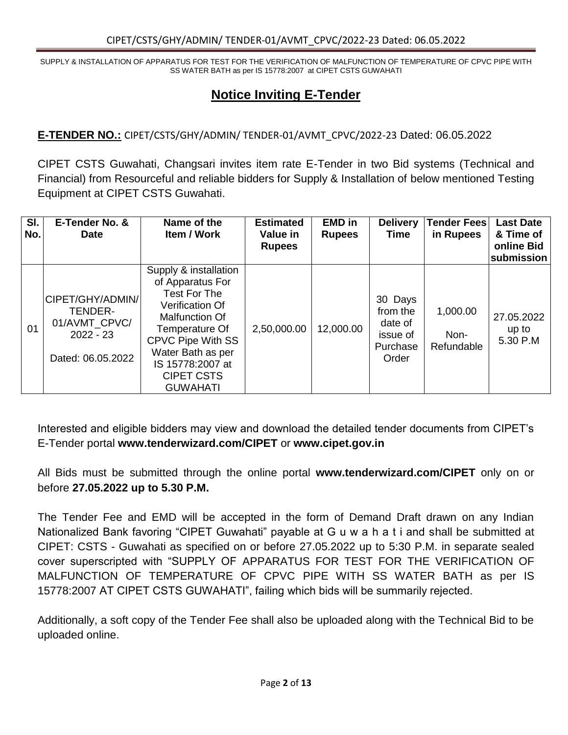#### **Notice Inviting E-Tender**

**E-TENDER NO.:** CIPET/CSTS/GHY/ADMIN/ TENDER-01/AVMT\_CPVC/2022-23 Dated: 06.05.2022

CIPET CSTS Guwahati, Changsari invites item rate E-Tender in two Bid systems (Technical and Financial) from Resourceful and reliable bidders for Supply & Installation of below mentioned Testing Equipment at CIPET CSTS Guwahati.

| SI.<br>No. | E-Tender No. &<br><b>Date</b>                                                    | Name of the<br>Item / Work                                                                                                                                                                                                           | <b>Estimated</b><br>Value in<br><b>Rupees</b> | <b>EMD</b> in<br><b>Rupees</b> | <b>Delivery</b><br><b>Time</b>                                  | <b>Tender Fees</b><br>in Rupees | <b>Last Date</b><br>& Time of<br>online Bid<br>submission |
|------------|----------------------------------------------------------------------------------|--------------------------------------------------------------------------------------------------------------------------------------------------------------------------------------------------------------------------------------|-----------------------------------------------|--------------------------------|-----------------------------------------------------------------|---------------------------------|-----------------------------------------------------------|
| 01         | CIPET/GHY/ADMIN/<br>TENDER-<br>01/AVMT_CPVC/<br>$2022 - 23$<br>Dated: 06.05.2022 | Supply & installation<br>of Apparatus For<br>Test For The<br><b>Verification Of</b><br>Malfunction Of<br>Temperature Of<br><b>CPVC Pipe With SS</b><br>Water Bath as per<br>IS 15778:2007 at<br><b>CIPET CSTS</b><br><b>GUWAHATI</b> | 2,50,000.00                                   | 12,000.00                      | 30 Days<br>from the<br>date of<br>issue of<br>Purchase<br>Order | 1,000.00<br>Non-<br>Refundable  | 27.05.2022<br>up to<br>5.30 P.M                           |

Interested and eligible bidders may view and download the detailed tender documents from CIPET's E-Tender portal **www.tenderwizard.com/CIPET** or **www.cipet.gov.in**

All Bids must be submitted through the online portal **www.tenderwizard.com/CIPET** only on or before **27.05.2022 up to 5.30 P.M.**

The Tender Fee and EMD will be accepted in the form of Demand Draft drawn on any Indian Nationalized Bank favoring "CIPET Guwahati" payable at G u w a h a t i and shall be submitted at CIPET: CSTS - Guwahati as specified on or before 27.05.2022 up to 5:30 P.M. in separate sealed cover superscripted with "SUPPLY OF APPARATUS FOR TEST FOR THE VERIFICATION OF MALFUNCTION OF TEMPERATURE OF CPVC PIPE WITH SS WATER BATH as per IS 15778:2007 AT CIPET CSTS GUWAHATI", failing which bids will be summarily rejected.

Additionally, a soft copy of the Tender Fee shall also be uploaded along with the Technical Bid to be uploaded online.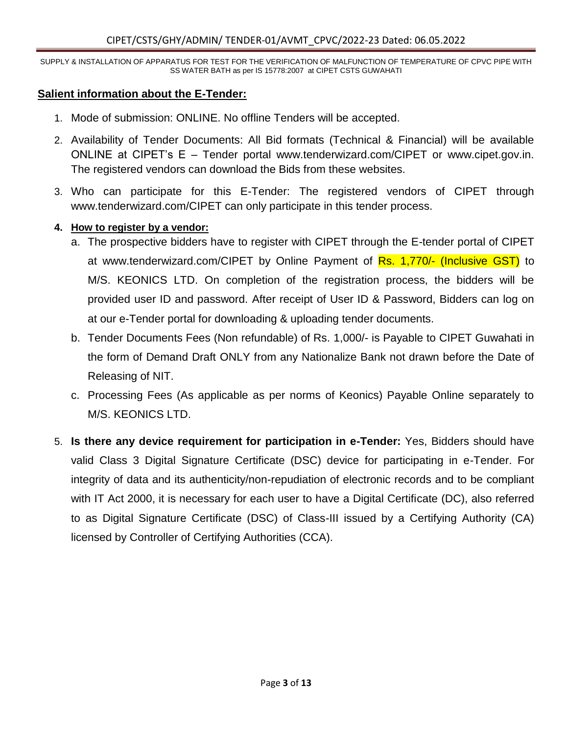#### **Salient information about the E-Tender:**

- 1. Mode of submission: ONLINE. No offline Tenders will be accepted.
- 2. Availability of Tender Documents: All Bid formats (Technical & Financial) will be available ONLINE at CIPET's E – Tender portal www.tenderwizard.com/CIPET or www.cipet.gov.in. The registered vendors can download the Bids from these websites.
- 3. Who can participate for this E-Tender: The registered vendors of CIPET through www.tenderwizard.com/CIPET can only participate in this tender process.

#### **4. How to register by a vendor:**

- a. The prospective bidders have to register with CIPET through the E-tender portal of CIPET at www.tenderwizard.com/CIPET by Online Payment of Rs. 1,770/- (Inclusive GST) to M/S. KEONICS LTD. On completion of the registration process, the bidders will be provided user ID and password. After receipt of User ID & Password, Bidders can log on at our e-Tender portal for downloading & uploading tender documents.
- b. Tender Documents Fees (Non refundable) of Rs. 1,000/- is Payable to CIPET Guwahati in the form of Demand Draft ONLY from any Nationalize Bank not drawn before the Date of Releasing of NIT.
- c. Processing Fees (As applicable as per norms of Keonics) Payable Online separately to M/S. KEONICS LTD.
- 5. **Is there any device requirement for participation in e-Tender:** Yes, Bidders should have valid Class 3 Digital Signature Certificate (DSC) device for participating in e-Tender. For integrity of data and its authenticity/non-repudiation of electronic records and to be compliant with IT Act 2000, it is necessary for each user to have a Digital Certificate (DC), also referred to as Digital Signature Certificate (DSC) of Class-III issued by a Certifying Authority (CA) licensed by Controller of Certifying Authorities (CCA).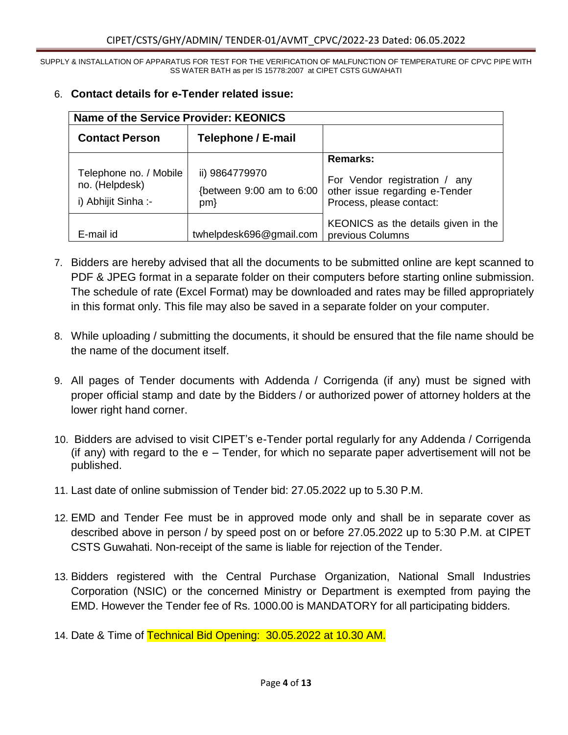| <b>Name of the Service Provider: KEONICS</b>                   |                                                   |                                                                                             |
|----------------------------------------------------------------|---------------------------------------------------|---------------------------------------------------------------------------------------------|
| <b>Contact Person</b>                                          | Telephone / E-mail                                |                                                                                             |
|                                                                |                                                   | Remarks:                                                                                    |
| Telephone no. / Mobile<br>no. (Helpdesk)<br>i) Abhijit Sinha:- | ii) 9864779970<br>{between 9:00 am to 6:00<br>pm} | For Vendor registration / any<br>other issue regarding e-Tender<br>Process, please contact: |
| E-mail id                                                      | twhelpdesk696@gmail.com                           | KEONICS as the details given in the<br>previous Columns                                     |

#### 6. **Contact details for e-Tender related issue:**

- 7. Bidders are hereby advised that all the documents to be submitted online are kept scanned to PDF & JPEG format in a separate folder on their computers before starting online submission. The schedule of rate (Excel Format) may be downloaded and rates may be filled appropriately in this format only. This file may also be saved in a separate folder on your computer.
- 8. While uploading / submitting the documents, it should be ensured that the file name should be the name of the document itself.
- 9. All pages of Tender documents with Addenda / Corrigenda (if any) must be signed with proper official stamp and date by the Bidders / or authorized power of attorney holders at the lower right hand corner.
- 10. Bidders are advised to visit CIPET's e-Tender portal regularly for any Addenda / Corrigenda (if any) with regard to the e – Tender, for which no separate paper advertisement will not be published.
- 11. Last date of online submission of Tender bid: 27.05.2022 up to 5.30 P.M.
- 12. EMD and Tender Fee must be in approved mode only and shall be in separate cover as described above in person / by speed post on or before 27.05.2022 up to 5:30 P.M. at CIPET CSTS Guwahati. Non-receipt of the same is liable for rejection of the Tender.
- 13. Bidders registered with the Central Purchase Organization, National Small Industries Corporation (NSIC) or the concerned Ministry or Department is exempted from paying the EMD. However the Tender fee of Rs. 1000.00 is MANDATORY for all participating bidders.
- 14. Date & Time of Technical Bid Opening: 30.05.2022 at 10.30 AM.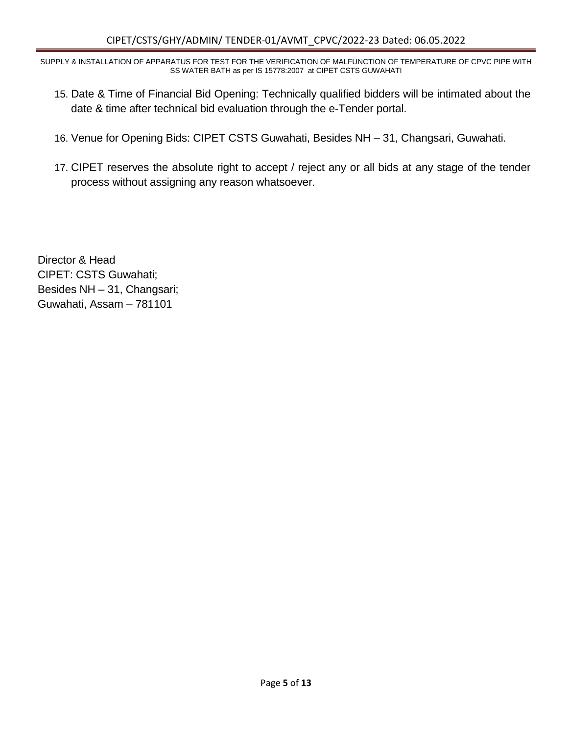- 15. Date & Time of Financial Bid Opening: Technically qualified bidders will be intimated about the date & time after technical bid evaluation through the e-Tender portal.
- 16. Venue for Opening Bids: CIPET CSTS Guwahati, Besides NH 31, Changsari, Guwahati.
- 17. CIPET reserves the absolute right to accept / reject any or all bids at any stage of the tender process without assigning any reason whatsoever.

Director & Head CIPET: CSTS Guwahati; Besides NH – 31, Changsari; Guwahati, Assam – 781101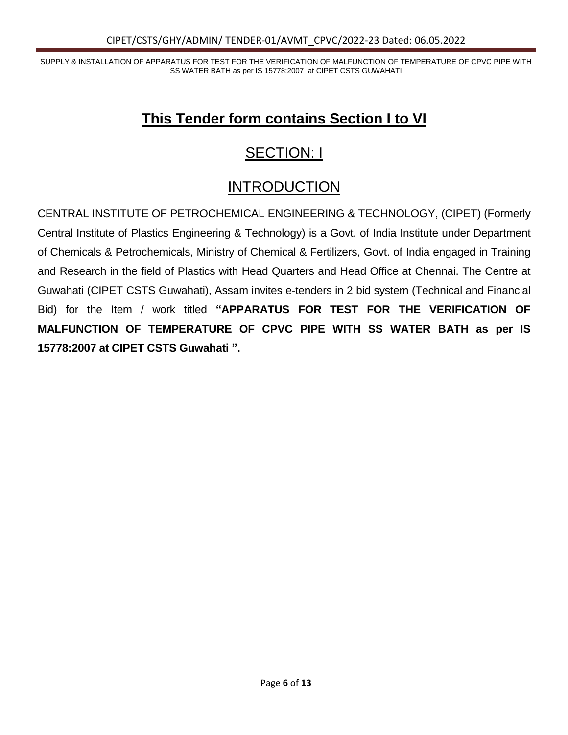### **This Tender form contains Section I to VI**

## SECTION: I

### INTRODUCTION

CENTRAL INSTITUTE OF PETROCHEMICAL ENGINEERING & TECHNOLOGY, (CIPET) (Formerly Central Institute of Plastics Engineering & Technology) is a Govt. of India Institute under Department of Chemicals & Petrochemicals, Ministry of Chemical & Fertilizers, Govt. of India engaged in Training and Research in the field of Plastics with Head Quarters and Head Office at Chennai. The Centre at Guwahati (CIPET CSTS Guwahati), Assam invites e-tenders in 2 bid system (Technical and Financial Bid) for the Item / work titled **"APPARATUS FOR TEST FOR THE VERIFICATION OF MALFUNCTION OF TEMPERATURE OF CPVC PIPE WITH SS WATER BATH as per IS 15778:2007 at CIPET CSTS Guwahati ".**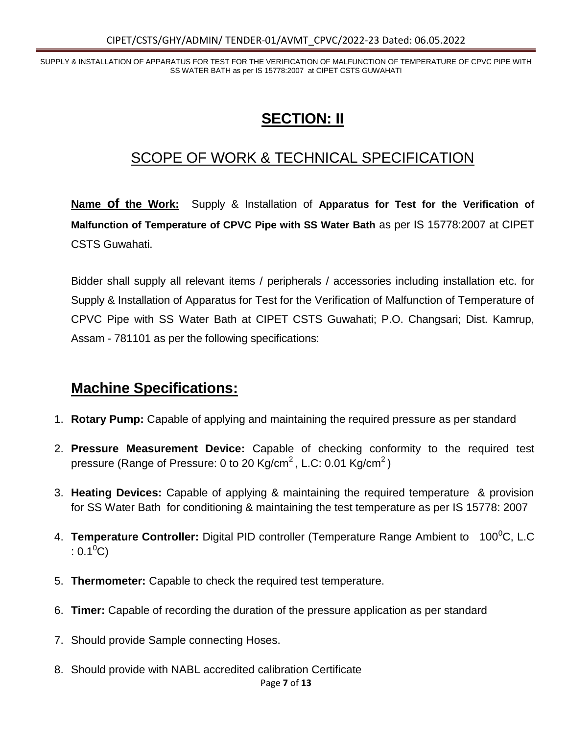### **SECTION: II**

### SCOPE OF WORK & TECHNICAL SPECIFICATION

**Name of the Work:** Supply & Installation of **Apparatus for Test for the Verification of Malfunction of Temperature of CPVC Pipe with SS Water Bath** as per IS 15778:2007 at CIPET CSTS Guwahati.

Bidder shall supply all relevant items / peripherals / accessories including installation etc. for Supply & Installation of Apparatus for Test for the Verification of Malfunction of Temperature of CPVC Pipe with SS Water Bath at CIPET CSTS Guwahati; P.O. Changsari; Dist. Kamrup, Assam - 781101 as per the following specifications:

#### **Machine Specifications:**

- 1. **Rotary Pump:** Capable of applying and maintaining the required pressure as per standard
- 2. **Pressure Measurement Device:** Capable of checking conformity to the required test pressure (Range of Pressure: 0 to 20 Kg/cm<sup>2</sup>, L.C: 0.01 Kg/cm<sup>2</sup>)
- 3. **Heating Devices:** Capable of applying & maintaining the required temperature & provision for SS Water Bath for conditioning & maintaining the test temperature as per IS 15778: 2007
- 4. **Temperature Controller:** Digital PID controller (Temperature Range Ambient to 100<sup>0</sup>C, L.C  $: 0.1^{0}C$
- 5. **Thermometer:** Capable to check the required test temperature.
- 6. **Timer:** Capable of recording the duration of the pressure application as per standard
- 7. Should provide Sample connecting Hoses.
- 8. Should provide with NABL accredited calibration Certificate

Page **7** of **13**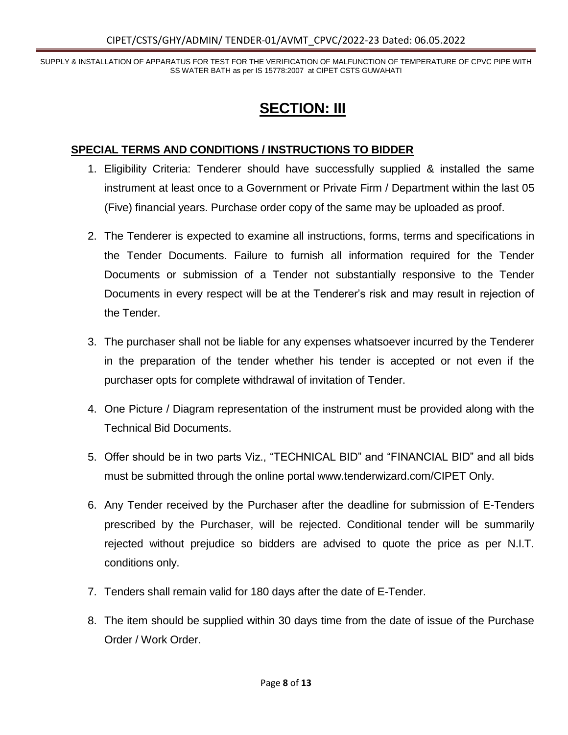### **SECTION: III**

#### **SPECIAL TERMS AND CONDITIONS / INSTRUCTIONS TO BIDDER**

- 1. Eligibility Criteria: Tenderer should have successfully supplied & installed the same instrument at least once to a Government or Private Firm / Department within the last 05 (Five) financial years. Purchase order copy of the same may be uploaded as proof.
- 2. The Tenderer is expected to examine all instructions, forms, terms and specifications in the Tender Documents. Failure to furnish all information required for the Tender Documents or submission of a Tender not substantially responsive to the Tender Documents in every respect will be at the Tenderer's risk and may result in rejection of the Tender.
- 3. The purchaser shall not be liable for any expenses whatsoever incurred by the Tenderer in the preparation of the tender whether his tender is accepted or not even if the purchaser opts for complete withdrawal of invitation of Tender.
- 4. One Picture / Diagram representation of the instrument must be provided along with the Technical Bid Documents.
- 5. Offer should be in two parts Viz., "TECHNICAL BID" and "FINANCIAL BID" and all bids must be submitted through the online portal www.tenderwizard.com/CIPET Only.
- 6. Any Tender received by the Purchaser after the deadline for submission of E-Tenders prescribed by the Purchaser, will be rejected. Conditional tender will be summarily rejected without prejudice so bidders are advised to quote the price as per N.I.T. conditions only.
- 7. Tenders shall remain valid for 180 days after the date of E-Tender.
- 8. The item should be supplied within 30 days time from the date of issue of the Purchase Order / Work Order.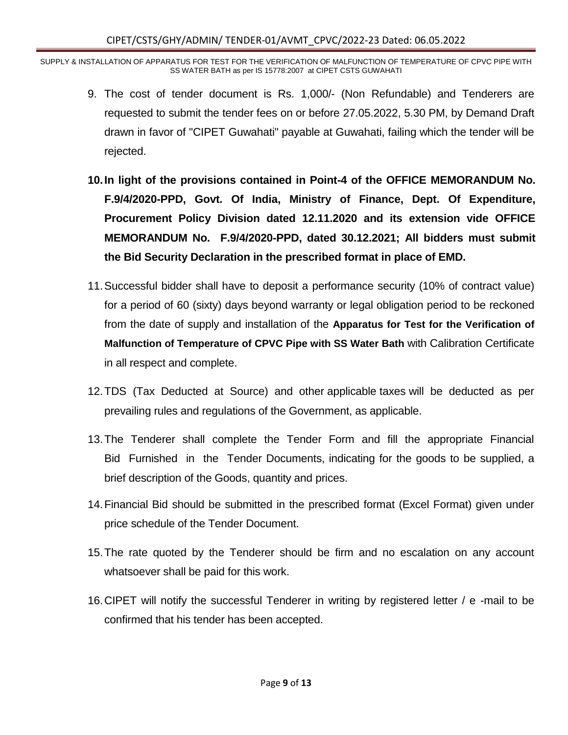- 9. The cost of tender document is Rs. 1,000/- (Non Refundable) and Tenderers are requested to submit the tender fees on or before 27.05.2022, 5.30 PM, by Demand Draft drawn in favor of "CIPET Guwahati" payable at Guwahati, failing which the tender will be rejected.
- **10.In light of the provisions contained in Point-4 of the OFFICE MEMORANDUM No. F.9/4/2020-PPD, Govt. Of India, Ministry of Finance, Dept. Of Expenditure, Procurement Policy Division dated 12.11.2020 and its extension vide OFFICE MEMORANDUM No. F.9/4/2020-PPD, dated 30.12.2021; All bidders must submit the Bid Security Declaration in the prescribed format in place of EMD.**
- 11.Successful bidder shall have to deposit a performance security (10% of contract value) for a period of 60 (sixty) days beyond warranty or legal obligation period to be reckoned from the date of supply and installation of the **Apparatus for Test for the Verification of Malfunction of Temperature of CPVC Pipe with SS Water Bath** with Calibration Certificate in all respect and complete.
- 12.TDS (Tax Deducted at Source) and other applicable taxes will be deducted as per prevailing rules and regulations of the Government, as applicable.
- 13.The Tenderer shall complete the Tender Form and fill the appropriate Financial Bid Furnished in the Tender Documents, indicating for the goods to be supplied, a brief description of the Goods, quantity and prices.
- 14.Financial Bid should be submitted in the prescribed format (Excel Format) given under price schedule of the Tender Document.
- 15.The rate quoted by the Tenderer should be firm and no escalation on any account whatsoever shall be paid for this work.
- 16.CIPET will notify the successful Tenderer in writing by registered letter / e -mail to be confirmed that his tender has been accepted.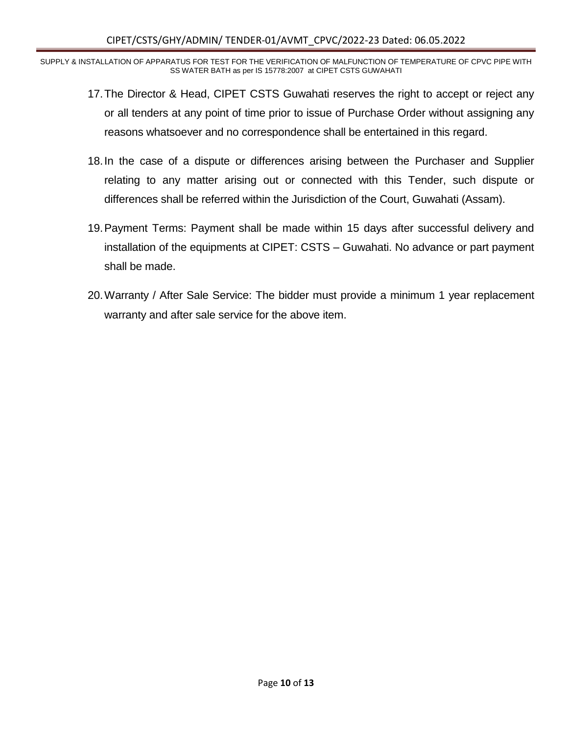- 17.The Director & Head, CIPET CSTS Guwahati reserves the right to accept or reject any or all tenders at any point of time prior to issue of Purchase Order without assigning any reasons whatsoever and no correspondence shall be entertained in this regard.
- 18.In the case of a dispute or differences arising between the Purchaser and Supplier relating to any matter arising out or connected with this Tender, such dispute or differences shall be referred within the Jurisdiction of the Court, Guwahati (Assam).
- 19.Payment Terms: Payment shall be made within 15 days after successful delivery and installation of the equipments at CIPET: CSTS – Guwahati. No advance or part payment shall be made.
- 20.Warranty / After Sale Service: The bidder must provide a minimum 1 year replacement warranty and after sale service for the above item.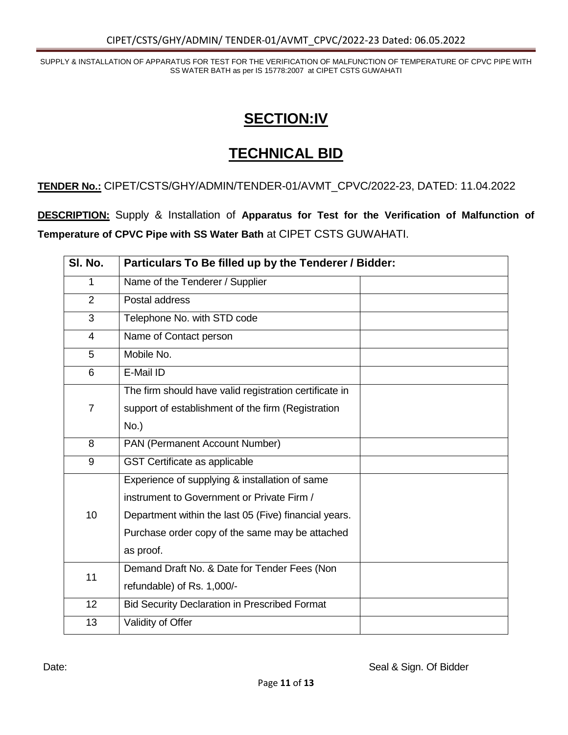#### **SECTION:IV**

#### **TECHNICAL BID**

**TENDER No.:** CIPET/CSTS/GHY/ADMIN/TENDER-01/AVMT\_CPVC/2022-23, DATED: 11.04.2022

**DESCRIPTION:** Supply & Installation of **Apparatus for Test for the Verification of Malfunction of Temperature of CPVC Pipe with SS Water Bath** at CIPET CSTS GUWAHATI.

| SI. No.        | Particulars To Be filled up by the Tenderer / Bidder:  |  |
|----------------|--------------------------------------------------------|--|
| 1              | Name of the Tenderer / Supplier                        |  |
| $\overline{2}$ | Postal address                                         |  |
| 3              | Telephone No. with STD code                            |  |
| $\overline{4}$ | Name of Contact person                                 |  |
| 5              | Mobile No.                                             |  |
| 6              | E-Mail ID                                              |  |
|                | The firm should have valid registration certificate in |  |
| $\overline{7}$ | support of establishment of the firm (Registration     |  |
|                | $No.$ )                                                |  |
| 8              | PAN (Permanent Account Number)                         |  |
| 9              | GST Certificate as applicable                          |  |
|                | Experience of supplying & installation of same         |  |
|                | instrument to Government or Private Firm /             |  |
| 10             | Department within the last 05 (Five) financial years.  |  |
|                | Purchase order copy of the same may be attached        |  |
|                | as proof.                                              |  |
| 11             | Demand Draft No. & Date for Tender Fees (Non           |  |
|                | refundable) of Rs. 1,000/-                             |  |
| 12             | <b>Bid Security Declaration in Prescribed Format</b>   |  |
| 13             | Validity of Offer                                      |  |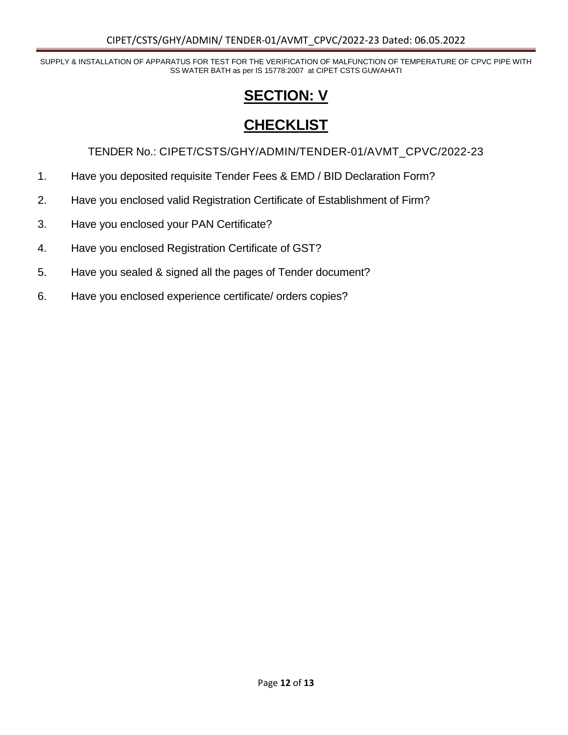## **SECTION: V**

### **CHECKLIST**

TENDER No.: CIPET/CSTS/GHY/ADMIN/TENDER-01/AVMT\_CPVC/2022-23

- 1. Have you deposited requisite Tender Fees & EMD / BID Declaration Form?
- 2. Have you enclosed valid Registration Certificate of Establishment of Firm?
- 3. Have you enclosed your PAN Certificate?
- 4. Have you enclosed Registration Certificate of GST?
- 5. Have you sealed & signed all the pages of Tender document?
- 6. Have you enclosed experience certificate/ orders copies?